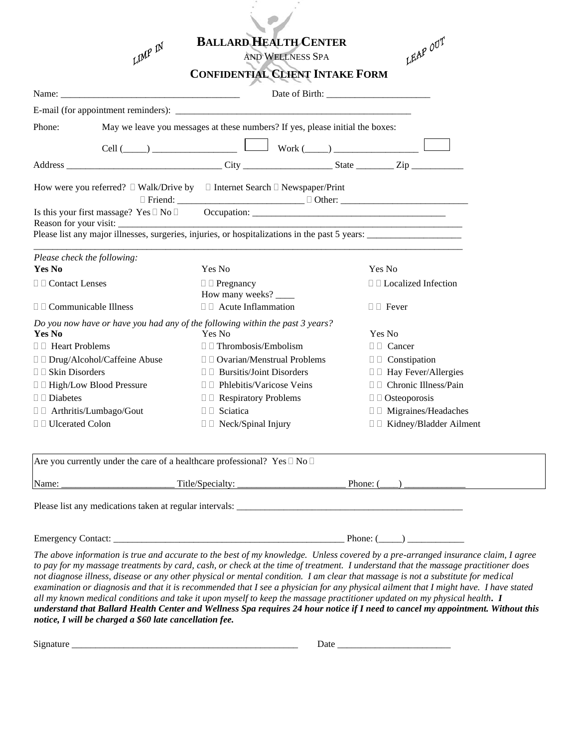|                                                                              | LIMP IN                                                                       |                                 | <b>BALLARD HEALTH CENTER</b><br>AND WELLNESS SPA | LEAP OUT                                                                                       |  |
|------------------------------------------------------------------------------|-------------------------------------------------------------------------------|---------------------------------|--------------------------------------------------|------------------------------------------------------------------------------------------------|--|
|                                                                              |                                                                               |                                 | <b>CONFIDENTIAL CLIENT INTAKE FORM</b>           |                                                                                                |  |
|                                                                              |                                                                               |                                 |                                                  |                                                                                                |  |
|                                                                              |                                                                               |                                 |                                                  |                                                                                                |  |
| Phone:                                                                       | May we leave you messages at these numbers? If yes, please initial the boxes: |                                 |                                                  |                                                                                                |  |
|                                                                              |                                                                               |                                 |                                                  | $Cell (\_\_\_\)$                                                                               |  |
|                                                                              |                                                                               |                                 |                                                  |                                                                                                |  |
|                                                                              | How were you referred? □ Walk/Drive by □ Internet Search □ Newspaper/Print    |                                 |                                                  |                                                                                                |  |
|                                                                              | Reason for your visit:                                                        |                                 |                                                  | Please list any major illnesses, surgeries, injuries, or hospitalizations in the past 5 years: |  |
| Please check the following:                                                  |                                                                               |                                 |                                                  |                                                                                                |  |
| <b>Yes No</b>                                                                |                                                                               | Yes No                          |                                                  | Yes No                                                                                         |  |
|                                                                              | $\Box$ Contact Lenses                                                         |                                 | How many weeks?                                  | $\Box$ Localized Infection                                                                     |  |
|                                                                              | $\Box$ Acute Inflammation<br>$\Box$ $\Box$ Communicable Illness               |                                 |                                                  | $\Box$ Fever                                                                                   |  |
| Yes No                                                                       | Do you now have or have you had any of the following within the past 3 years? | Yes No                          |                                                  | Yes No                                                                                         |  |
| □ <b>I</b> Heart Problems                                                    |                                                                               | $\Box$ Thrombosis/Embolism      |                                                  | $\Box$ $\Box$ Cancer                                                                           |  |
|                                                                              | □ □ Drug/Alcohol/Caffeine Abuse<br>$\Box$ Ovarian/Menstrual Problems          |                                 |                                                  | $\Box$ Constipation                                                                            |  |
|                                                                              |                                                                               |                                 |                                                  |                                                                                                |  |
| $\Box$ Skin Disorders                                                        |                                                                               | $\Box$ Bursitis/Joint Disorders |                                                  | □ □ Hay Fever/Allergies                                                                        |  |
|                                                                              |                                                                               | □ □ Phlebitis/Varicose Veins    |                                                  | □ □ Chronic Illness/Pain                                                                       |  |
|                                                                              |                                                                               | □ □ Respiratory Problems        |                                                  | $\Box$ Osteoporosis                                                                            |  |
| □ □ High/Low Blood Pressure<br>$\Box$ Diabetes<br>□ □ Arthritis/Lumbago/Gout |                                                                               | $\Box$ Sciatica                 |                                                  | □ □ Migraines/Headaches                                                                        |  |

| Are you currently under the care of a healthcare professional? Yes $\Box$ No $\Box$ |                  |                   |  |  |  |  |  |  |
|-------------------------------------------------------------------------------------|------------------|-------------------|--|--|--|--|--|--|
| Name:                                                                               | Title/Specialty: | Phone: $\sqrt{ }$ |  |  |  |  |  |  |
|                                                                                     |                  |                   |  |  |  |  |  |  |

Please list any medications taken at regular intervals: \_\_\_\_\_\_\_\_\_\_\_\_\_\_\_\_\_\_\_\_\_\_\_\_\_\_\_\_\_\_\_\_\_\_\_\_\_\_\_\_\_\_\_\_\_\_\_\_

Emergency Contact: \_\_\_\_\_\_\_\_\_\_\_\_\_\_\_\_\_\_\_\_\_\_\_\_\_\_\_\_\_\_\_\_\_\_\_\_\_\_\_\_\_\_\_\_\_\_\_\_\_ Phone: (\_\_\_\_\_) \_\_\_\_\_\_\_\_\_\_\_\_

*The above information is true and accurate to the best of my knowledge. Unless covered by a pre-arranged insurance claim, I agree to pay for my massage treatments by card, cash, or check at the time of treatment. I understand that the massage practitioner does not diagnose illness, disease or any other physical or mental condition. I am clear that massage is not a substitute for medical examination or diagnosis and that it is recommended that I see a physician for any physical ailment that I might have. I have stated all my known medical conditions and take it upon myself to keep the massage practitioner updated on my physical health. I understand that Ballard Health Center and Wellness Spa requires 24 hour notice if I need to cancel my appointment. Without this notice, I will be charged a \$60 late cancellation fee.*

| n.<br>$\sim$                                                                                                                                                                                                                         |          |
|--------------------------------------------------------------------------------------------------------------------------------------------------------------------------------------------------------------------------------------|----------|
| .<br>۶۱۶                                                                                                                                                                                                                             | $\cdots$ |
|                                                                                                                                                                                                                                      | rau<br>- |
| <u> The Communication of the Communication of the Communication of the Communication of the Communication of the Communication of the Communication of the Communication of the Communication of the Communication of the Commun</u> |          |